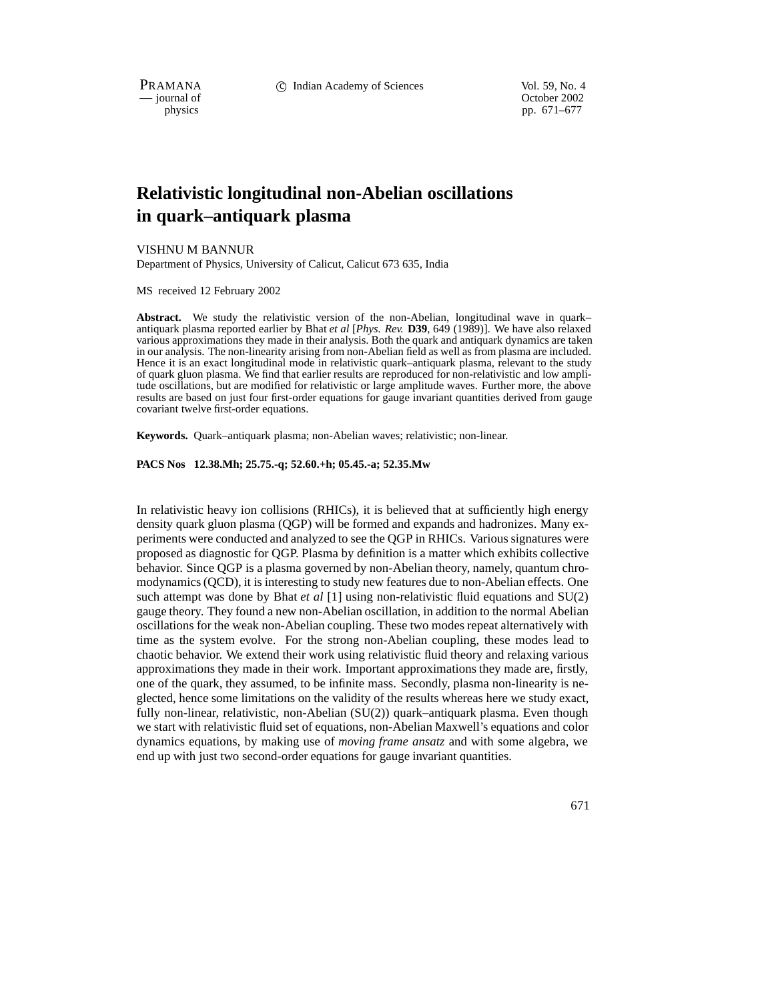PRAMANA 
<sup>C</sup> Indian Academy of Sciences Vol. 59, No. 4<br>
— iournal of Corober 2002

physics<br>
physics<br>
pp. 671–677<br>
pp. 671–677 pp. 671–677

## **Relativistic longitudinal non-Abelian oscillations in quark–antiquark plasma**

VISHNU M BANNUR

Department of Physics, University of Calicut, Calicut 673 635, India

MS received 12 February 2002

**Abstract.** We study the relativistic version of the non-Abelian, longitudinal wave in quark– antiquark plasma reported earlier by Bhat *et al* [*Phys. Rev.* **D39**, 649 (1989)]. We have also relaxed various approximations they made in their analysis. Both the quark and antiquark dynamics are taken in our analysis. The non-linearity arising from non-Abelian field as well as from plasma are included. Hence it is an exact longitudinal mode in relativistic quark–antiquark plasma, relevant to the study of quark gluon plasma. We find that earlier results are reproduced for non-relativistic and low amplitude oscillations, but are modified for relativistic or large amplitude waves. Further more, the above results are based on just four first-order equations for gauge invariant quantities derived from gauge covariant twelve first-order equations.

**Keywords.** Quark–antiquark plasma; non-Abelian waves; relativistic; non-linear.

**PACS Nos 12.38.Mh; 25.75.-q; 52.60.+h; 05.45.-a; 52.35.Mw**

In relativistic heavy ion collisions (RHICs), it is believed that at sufficiently high energy density quark gluon plasma (QGP) will be formed and expands and hadronizes. Many experiments were conducted and analyzed to see the QGP in RHICs. Various signatures were proposed as diagnostic for QGP. Plasma by definition is a matter which exhibits collective behavior. Since QGP is a plasma governed by non-Abelian theory, namely, quantum chromodynamics (QCD), it is interesting to study new features due to non-Abelian effects. One such attempt was done by Bhat *et al* [1] using non-relativistic fluid equations and SU(2) gauge theory. They found a new non-Abelian oscillation, in addition to the normal Abelian oscillations for the weak non-Abelian coupling. These two modes repeat alternatively with time as the system evolve. For the strong non-Abelian coupling, these modes lead to chaotic behavior. We extend their work using relativistic fluid theory and relaxing various approximations they made in their work. Important approximations they made are, firstly, one of the quark, they assumed, to be infinite mass. Secondly, plasma non-linearity is neglected, hence some limitations on the validity of the results whereas here we study exact, fully non-linear, relativistic, non-Abelian (SU(2)) quark–antiquark plasma. Even though we start with relativistic fluid set of equations, non-Abelian Maxwell's equations and color dynamics equations, by making use of *moving frame ansatz* and with some algebra, we end up with just two second-order equations for gauge invariant quantities.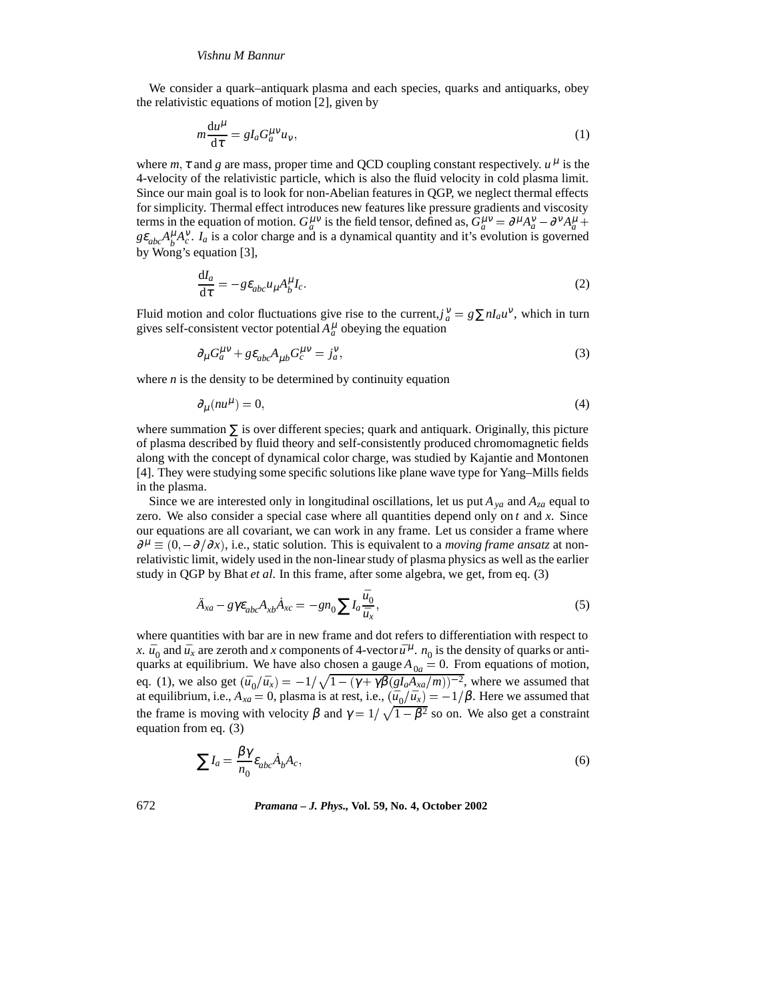We consider a quark–antiquark plasma and each species, quarks and antiquarks, obey the relativistic equations of motion [2], given by

$$
m\frac{\mathrm{d}u^{\mu}}{\mathrm{d}\tau} = gI_a G_a^{\mu\nu} u_{\nu},\tag{1}
$$

where *m*,  $\tau$  and *g* are mass, proper time and QCD coupling constant respectively.  $u^{\mu}$  is the 4-velocity of the relativistic particle, which is also the fluid velocity in cold plasma limit. Since our main goal is to look for non-Abelian features in QGP, we neglect thermal effects for simplicity. Thermal effect introduces new features like pressure gradients and viscosity terms in the equation of motion.  $G_a^{\mu\nu}$  is the field tensor, defined as,  $G_a^{\mu\nu} = \partial^\mu A_a^\nu - \partial^\nu A_a^\mu + \partial^\nu A_a^\mu$  $g\epsilon_{abc}A_b^{\mu}A_c^{\nu}$ . *I<sub>a</sub>* is a color charge and is a dynamical quantity and it's evolution is governed by Wong's equation [3],

$$
\frac{\mathrm{d}I_a}{\mathrm{d}\tau} = -g\varepsilon_{abc}u_\mu A_\nu^\mu I_c. \tag{2}
$$

Fluid motion and color fluctuations give rise to the current, $j_a^{\gamma} = g \sum n I_a u^{\gamma}$ , which in turn gives self-consistent vector potential  $A_a^{\mu}$  obeying the equation

$$
\partial_{\mu} G_{a}^{\mu\nu} + g \varepsilon_{abc} A_{\mu b} G_{c}^{\mu\nu} = j_{a}^{\nu},\tag{3}
$$

where *n* is the density to be determined by continuity equation

$$
\partial_{\mu}(nu^{\mu}) = 0,\tag{4}
$$

where summation  $\Sigma$  is over different species; quark and antiquark. Originally, this picture of plasma described by fluid theory and self-consistently produced chromomagnetic fields along with the concept of dynamical color charge, was studied by Kajantie and Montonen [4]. They were studying some specific solutions like plane wave type for Yang–Mills fields in the plasma.

Since we are interested only in longitudinal oscillations, let us put  $A_{ya}$  and  $A_{za}$  equal to zero. We also consider a special case where all quantities depend only on *t* and *x*. Since our equations are all covariant, we can work in any frame. Let us consider a frame where  $\partial^{\mu} \equiv (0, -\partial/\partial x)$ , i.e., static solution. This is equivalent to a *moving frame ansatz* at nonrelativistic limit, widely used in the non-linear study of plasma physics as well as the earlier study in QGP by Bhat *et al*. In this frame, after some algebra, we get, from eq. (3)

$$
\ddot{A}_{xa} - g\gamma \varepsilon_{abc} A_{xb} \dot{A}_{xc} = -gn_0 \sum I_a \frac{\bar{u}_0}{\bar{u}_x},\tag{5}
$$

where quantities with bar are in new frame and dot refers to differentiation with respect to *x*.  $\bar{u}_0$  and  $\bar{u}_x$  are zeroth and *x* components of 4-vector  $\bar{u}^\mu$ .  $n_0$  is the density of quarks or antiquarks at equilibrium. We have also chosen a gauge  $A_{0a} = 0$ . From equations of motion, eq. (1), we also get  $(\bar{u}_0/\bar{u}_x) = -1/\sqrt{1-(\gamma + \gamma\beta(gI_aA_{xa}/m))^{-2}}$ , where we assumed that at equilibrium, i.e.,  $A_{xa} = 0$ , plasma is at rest, i.e.,  $(\bar{u}_0/\bar{u}_x) = -1/\beta$ . Here we assumed that the frame is moving with velocity  $\beta$  and  $\gamma = 1/\sqrt{1 - \beta^2}$  so on. We also get a constraint equation from eq. (3)

$$
\sum I_a = \frac{\beta \gamma}{n_0} \varepsilon_{abc} \dot{A}_b A_c,\tag{6}
$$

## 672 *Pramana – J. Phys.,* **Vol. 59, No. 4, October 2002**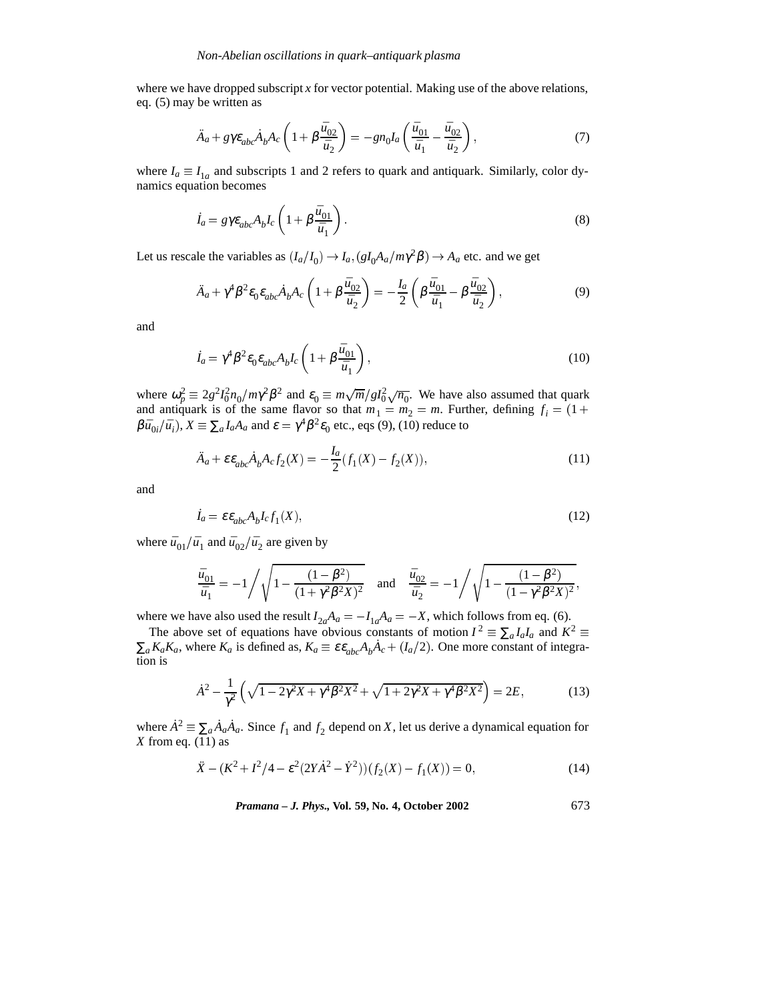where we have dropped subscript *x* for vector potential. Making use of the above relations, eq. (5) may be written as

$$
\ddot{A}_a + g\gamma \varepsilon_{abc}\dot{A}_b A_c \left(1 + \beta \frac{\bar{u}_{02}}{\bar{u}_2}\right) = -gn_0 I_a \left(\frac{\bar{u}_{01}}{\bar{u}_1} - \frac{\bar{u}_{02}}{\bar{u}_2}\right),\tag{7}
$$

where  $I_a \equiv I_{1a}$  and subscripts 1 and 2 refers to quark and antiquark. Similarly, color dynamics equation becomes

$$
\dot{I}_a = g\gamma \varepsilon_{abc} A_b I_c \left( 1 + \beta \frac{\bar{u}_{01}}{\bar{u}_1} \right). \tag{8}
$$

Let us rescale the variables as  $(I_a/I_0) \to I_a$ ,  $(gI_0A_a/m\gamma^2\beta) \to A_a$  etc. and we get

$$
\ddot{A}_a + \gamma^4 \beta^2 \varepsilon_0 \varepsilon_{abc} \dot{A}_b A_c \left( 1 + \beta \frac{\bar{u}_{02}}{\bar{u}_2} \right) = -\frac{I_a}{2} \left( \beta \frac{\bar{u}_{01}}{\bar{u}_1} - \beta \frac{\bar{u}_{02}}{\bar{u}_2} \right),\tag{9}
$$

and

$$
\dot{I}_a = \gamma^4 \beta^2 \varepsilon_0 \varepsilon_{abc} A_b I_c \left( 1 + \beta \frac{\bar{u}_{01}}{\bar{u}_1} \right), \tag{10}
$$

where  $\omega_p^2 \equiv 2g^2I_0^2n_0/m\gamma^2\beta^2$  and  $\varepsilon_0 \equiv m\sqrt{m}/gl_0^2\sqrt{n_0}$ . We have also assumed that quark and antiquark is of the same flavor so that  $m_1 = m_2 = m$ . Further, defining  $f_i = (1 +$  $\beta \bar{u}_{0i}/\bar{u}_i$ ,  $X \equiv \sum_a I_a A_a$  and  $\varepsilon = \gamma^4 \beta^2 \varepsilon_0$  etc., eqs (9), (10) reduce to

$$
\ddot{A}_a + \varepsilon \varepsilon_{abc} \dot{A}_b A_c f_2(X) = -\frac{I_a}{2} (f_1(X) - f_2(X)), \qquad (11)
$$

and

$$
\dot{I}_a = \varepsilon \varepsilon_{abc} A_b I_c f_1(X),\tag{12}
$$

where  $\bar{u}_{01}/\bar{u}_1$  and  $\bar{u}_{02}/\bar{u}_2$  are given by

$$
\frac{\bar{u}_{01}}{\bar{u}_1} = -1 / \sqrt{1 - \frac{(1 - \beta^2)}{(1 + \gamma^2 \beta^2 X)^2}} \quad \text{and} \quad \frac{\bar{u}_{02}}{\bar{u}_2} = -1 / \sqrt{1 - \frac{(1 - \beta^2)}{(1 - \gamma^2 \beta^2 X)^2}},
$$

where we have also used the result  $I_{2a}A_a = -I_{1a}A_a = -X$ , which follows from eq. (6).

The above set of equations have obvious constants of motion  $I^2 \equiv \sum_a I_a I_a$  and  $K^2 \equiv$  $\sum_a K_a K_a$ , where  $K_a$  is defined as,  $K_a \equiv \varepsilon \varepsilon_{abc} A_b \dot{A}_c + (I_a/2)$ . One more constant of integration is

$$
\dot{A}^2 - \frac{1}{\gamma^2} \left( \sqrt{1 - 2\gamma^2 X + \gamma^4 \beta^2 X^2} + \sqrt{1 + 2\gamma^2 X + \gamma^4 \beta^2 X^2} \right) = 2E,\tag{13}
$$

where  $\dot{A}^2 \equiv \sum_a \dot{A}_a \dot{A}_a$ . Since  $f_1$  and  $f_2$  depend on *X*, let us derive a dynamical equation for *X* from eq. (11) as

$$
\ddot{X} - (K^2 + I^2/4 - \varepsilon^2 (2Y\dot{A}^2 - \dot{Y}^2)) (f_2(X) - f_1(X)) = 0,
$$
\n(14)

*Pramana – J. Phys.,* **Vol. 59, No. 4, October 2002** 673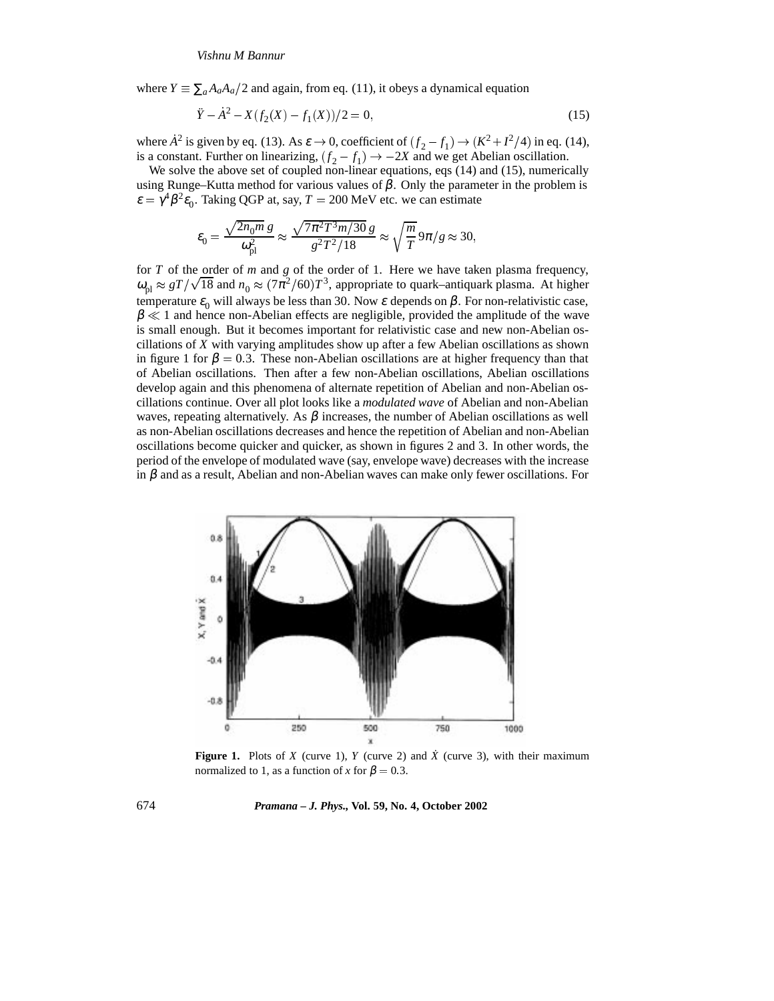where  $Y \equiv \sum_a A_a A_a / 2$  and again, from eq. (11), it obeys a dynamical equation

$$
\ddot{Y} - \dot{A}^2 - X(f_2(X) - f_1(X))/2 = 0,
$$
\n(15)

where  $\dot{A}^2$  is given by eq. (13). As  $\varepsilon \to 0$ , coefficient of  $(f_2 - f_1) \to (K^2 + I^2/4)$  in eq. (14), is a constant. Further on linearizing,  $(f_2 - f_1) \rightarrow -2X$  and we get Abelian oscillation.

We solve the above set of coupled non-linear equations, eqs (14) and (15), numerically using Runge–Kutta method for various values of  $β$ . Only the parameter in the problem is  $\varepsilon = \gamma^4 \beta^2 \varepsilon_0$ . Taking QGP at, say,  $T = 200$  MeV etc. we can estimate

$$
\varepsilon_0 = \frac{\sqrt{2n_0m} g}{\omega_{\rm pl}^2} \approx \frac{\sqrt{7\pi^2 T^3 m/30} g}{g^2 T^2/18} \approx \sqrt{\frac{m}{T}} 9\pi/g \approx 30,
$$

for *T* of the order of *m* and *g* of the order of 1. Here we have taken plasma frequency,  $\omega_{\text{pl}} \approx gT/\sqrt{18}$  and  $n_0 \approx (7\pi^2/60)T^3$ , appropriate to quark–antiquark plasma. At higher temperature  $ε_0$  will always be less than 30. Now  $ε$  depends on  $β$ . For non-relativistic case,  $\beta \ll 1$  and hence non-Abelian effects are negligible, provided the amplitude of the wave is small enough. But it becomes important for relativistic case and new non-Abelian oscillations of *X* with varying amplitudes show up after a few Abelian oscillations as shown in figure 1 for  $\beta = 0.3$ . These non-Abelian oscillations are at higher frequency than that of Abelian oscillations. Then after a few non-Abelian oscillations, Abelian oscillations develop again and this phenomena of alternate repetition of Abelian and non-Abelian oscillations continue. Over all plot looks like a *modulated wave* of Abelian and non-Abelian waves, repeating alternatively. As  $\beta$  increases, the number of Abelian oscillations as well as non-Abelian oscillations decreases and hence the repetition of Abelian and non-Abelian oscillations become quicker and quicker, as shown in figures 2 and 3. In other words, the period of the envelope of modulated wave (say, envelope wave) decreases with the increase in  $\beta$  and as a result, Abelian and non-Abelian waves can make only fewer oscillations. For



**Figure 1.** Plots of *X* (curve 1), *Y* (curve 2) and  $\dot{X}$  (curve 3), with their maximum normalized to 1, as a function of *x* for  $\beta = 0.3$ .

674 *Pramana – J. Phys.,* **Vol. 59, No. 4, October 2002**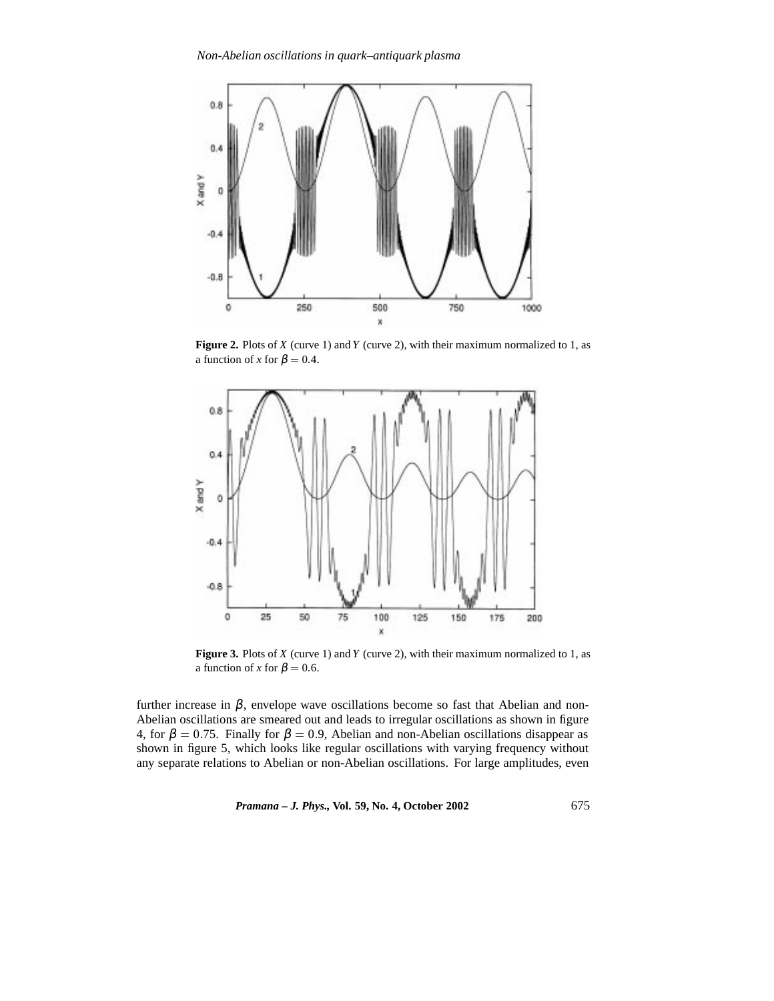*Non-Abelian oscillations in quark–antiquark plasma*



**Figure 2.** Plots of *X* (curve 1) and *Y* (curve 2), with their maximum normalized to 1, as a function of *x* for  $\beta = 0.4$ .



**Figure 3.** Plots of *X* (curve 1) and *Y* (curve 2), with their maximum normalized to 1, as a function of *x* for  $\beta = 0.6$ .

further increase in  $\beta$ , envelope wave oscillations become so fast that Abelian and non-Abelian oscillations are smeared out and leads to irregular oscillations as shown in figure 4, for  $\beta = 0.75$ . Finally for  $\beta = 0.9$ , Abelian and non-Abelian oscillations disappear as shown in figure 5, which looks like regular oscillations with varying frequency without any separate relations to Abelian or non-Abelian oscillations. For large amplitudes, even

*Pramana – J. Phys.,* **Vol. 59, No. 4, October 2002** 675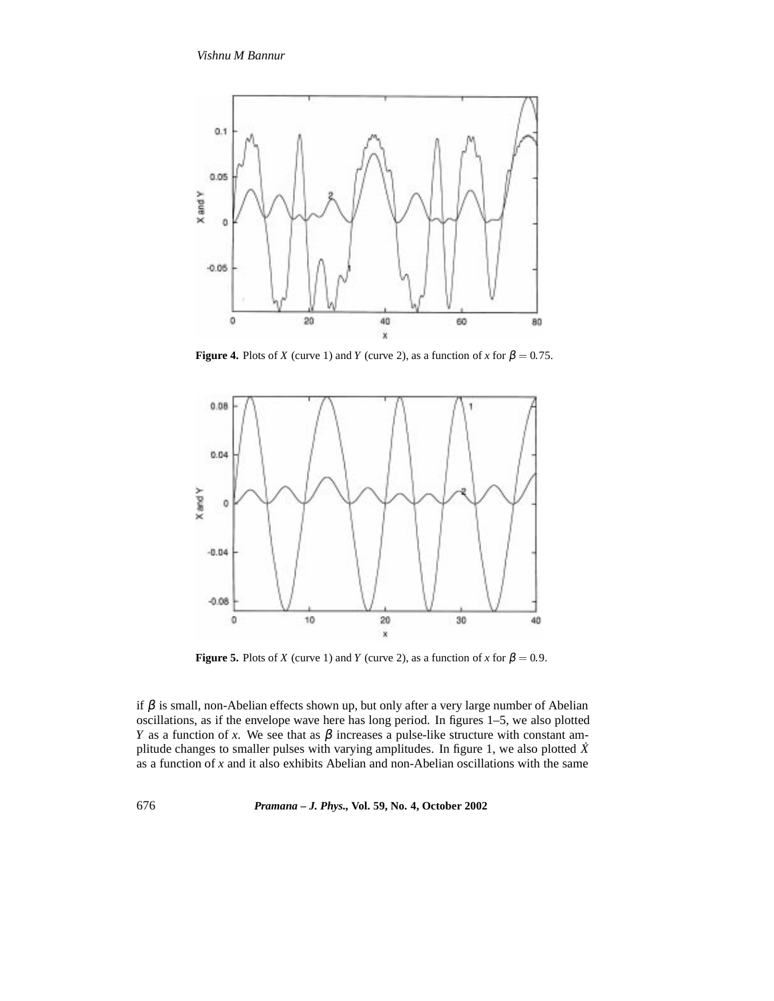

**Figure 4.** Plots of *X* (curve 1) and *Y* (curve 2), as a function of *x* for  $\beta = 0.75$ .



**Figure 5.** Plots of *X* (curve 1) and *Y* (curve 2), as a function of *x* for  $\beta = 0.9$ .

if  $\beta$  is small, non-Abelian effects shown up, but only after a very large number of Abelian oscillations, as if the envelope wave here has long period. In figures 1–5, we also plotted *Y* as a function of *x*. We see that as  $\beta$  increases a pulse-like structure with constant amplitude changes to smaller pulses with varying amplitudes. In figure 1, we also plotted  $\dot{X}$ as a function of *x* and it also exhibits Abelian and non-Abelian oscillations with the same

676 *Pramana – J. Phys.,* **Vol. 59, No. 4, October 2002**